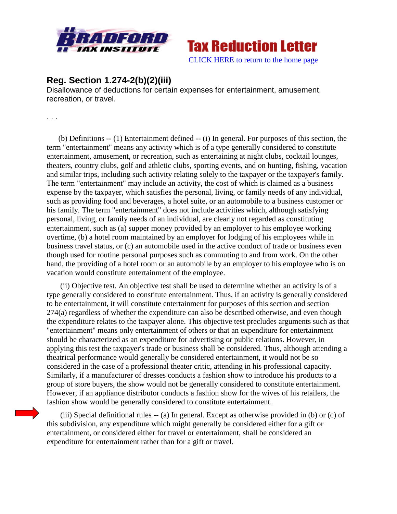



## **Reg. Section 1.274-2(b)(2)(iii)**

Disallowance of deductions for certain expenses for entertainment, amusement, recreation, or travel.

. . .

(b) Definitions -- (1) Entertainment defined -- (i) In general. For purposes of this section, the term "entertainment" means any activity which is of a type generally considered to constitute entertainment, amusement, or recreation, such as entertaining at night clubs, cocktail lounges, theaters, country clubs, golf and athletic clubs, sporting events, and on hunting, fishing, vacation and similar trips, including such activity relating solely to the taxpayer or the taxpayer's family. The term "entertainment" may include an activity, the cost of which is claimed as a business expense by the taxpayer, which satisfies the personal, living, or family needs of any individual, such as providing food and beverages, a hotel suite, or an automobile to a business customer or his family. The term "entertainment" does not include activities which, although satisfying personal, living, or family needs of an individual, are clearly not regarded as constituting entertainment, such as (a) supper money provided by an employer to his employee working overtime, (b) a hotel room maintained by an employer for lodging of his employees while in business travel status, or (c) an automobile used in the active conduct of trade or business even though used for routine personal purposes such as commuting to and from work. On the other hand, the providing of a hotel room or an automobile by an employer to his employee who is on vacation would constitute entertainment of the employee.

(ii) Objective test. An objective test shall be used to determine whether an activity is of a type generally considered to constitute entertainment. Thus, if an activity is generally considered to be entertainment, it will constitute entertainment for purposes of this section and section 274(a) regardless of whether the expenditure can also be described otherwise, and even though the expenditure relates to the taxpayer alone. This objective test precludes arguments such as that "entertainment" means only entertainment of others or that an expenditure for entertainment should be characterized as an expenditure for advertising or public relations. However, in applying this test the taxpayer's trade or business shall be considered. Thus, although attending a theatrical performance would generally be considered entertainment, it would not be so considered in the case of a professional theater critic, attending in his professional capacity. Similarly, if a manufacturer of dresses conducts a fashion show to introduce his products to a group of store buyers, the show would not be generally considered to constitute entertainment. However, if an appliance distributor conducts a fashion show for the wives of his retailers, the fashion show would be generally considered to constitute entertainment.

(iii) Special definitional rules -- (a) In general. Except as otherwise provided in (b) or (c) of this subdivision, any expenditure which might generally be considered either for a gift or entertainment, or considered either for travel or entertainment, shall be considered an expenditure for entertainment rather than for a gift or travel.